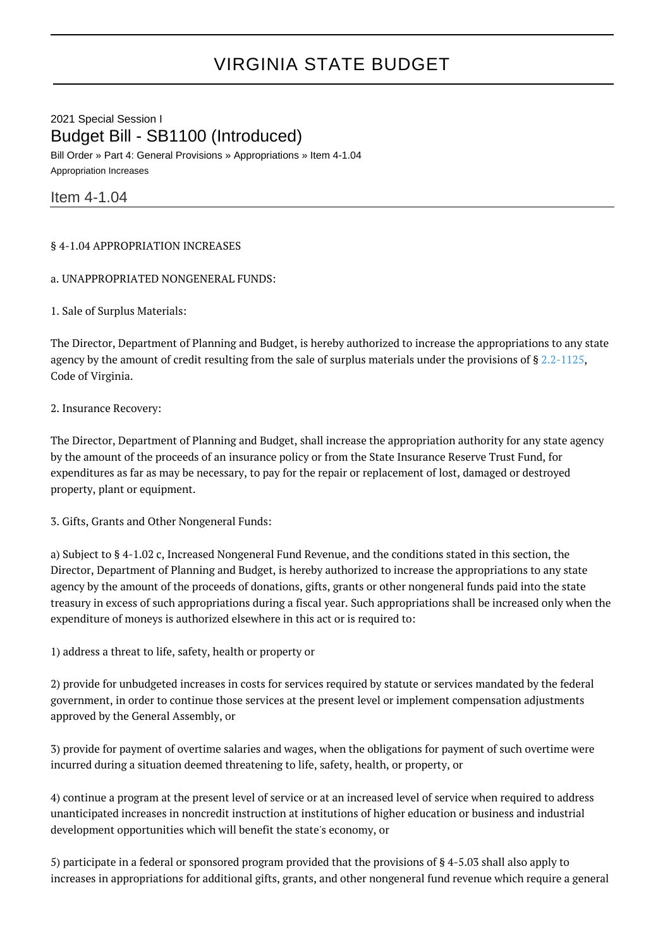## VIRGINIA STATE BUDGET

2021 Special Session I Budget Bill - SB1100 (Introduced) Bill Order » Part 4: General Provisions » Appropriations » Item 4-1.04 Appropriation Increases

Item 4-1.04

## § 4-1.04 APPROPRIATION INCREASES

a. UNAPPROPRIATED NONGENERAL FUNDS:

1. Sale of Surplus Materials:

The Director, Department of Planning and Budget, is hereby authorized to increase the appropriations to any state agency by the amount of credit resulting from the sale of surplus materials under the provisions of § [2.2-1125,](http://law.lis.virginia.gov/vacode/2.2-1125/) Code of Virginia.

2. Insurance Recovery:

The Director, Department of Planning and Budget, shall increase the appropriation authority for any state agency by the amount of the proceeds of an insurance policy or from the State Insurance Reserve Trust Fund, for expenditures as far as may be necessary, to pay for the repair or replacement of lost, damaged or destroyed property, plant or equipment.

3. Gifts, Grants and Other Nongeneral Funds:

a) Subject to § 4-1.02 c, Increased Nongeneral Fund Revenue, and the conditions stated in this section, the Director, Department of Planning and Budget, is hereby authorized to increase the appropriations to any state agency by the amount of the proceeds of donations, gifts, grants or other nongeneral funds paid into the state treasury in excess of such appropriations during a fiscal year. Such appropriations shall be increased only when the expenditure of moneys is authorized elsewhere in this act or is required to:

1) address a threat to life, safety, health or property or

2) provide for unbudgeted increases in costs for services required by statute or services mandated by the federal government, in order to continue those services at the present level or implement compensation adjustments approved by the General Assembly, or

3) provide for payment of overtime salaries and wages, when the obligations for payment of such overtime were incurred during a situation deemed threatening to life, safety, health, or property, or

4) continue a program at the present level of service or at an increased level of service when required to address unanticipated increases in noncredit instruction at institutions of higher education or business and industrial development opportunities which will benefit the state's economy, or

5) participate in a federal or sponsored program provided that the provisions of § 4-5.03 shall also apply to increases in appropriations for additional gifts, grants, and other nongeneral fund revenue which require a general